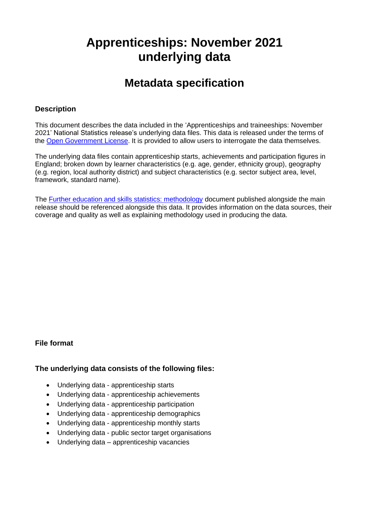# **Apprenticeships: November 2021 underlying data**

## **Metadata specification**

#### **Description**

This document describes the data included in the 'Apprenticeships and traineeships: November 2021' National Statistics release's underlying data files. This data is released under the terms of the [Open Government License.](http://www.nationalarchives.gov.uk/doc/open-government-licence/) It is provided to allow users to interrogate the data themselves.

The underlying data files contain apprenticeship starts, achievements and participation figures in England; broken down by learner characteristics (e.g. age, gender, ethnicity group), geography (e.g. region, local authority district) and subject characteristics (e.g. sector subject area, level, framework, standard name).

The **Further education and skills statistics: methodology document published alongside the main** release should be referenced alongside this data. It provides information on the data sources, their coverage and quality as well as explaining methodology used in producing the data.

#### **File format**

#### **The underlying data consists of the following files:**

- Underlying data apprenticeship starts
- Underlying data apprenticeship achievements
- Underlying data apprenticeship participation
- Underlying data apprenticeship demographics
- Underlying data apprenticeship monthly starts
- Underlying data public sector target organisations
- Underlying data apprenticeship vacancies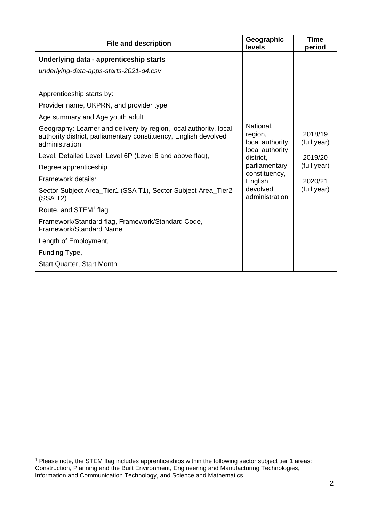| <b>File and description</b>                                                                                                                             | Geographic<br>levels                     | Time<br>period         |
|---------------------------------------------------------------------------------------------------------------------------------------------------------|------------------------------------------|------------------------|
| Underlying data - apprenticeship starts                                                                                                                 |                                          |                        |
| underlying-data-apps-starts-2021-q4.csv                                                                                                                 |                                          |                        |
| Apprenticeship starts by:                                                                                                                               |                                          |                        |
| Provider name, UKPRN, and provider type                                                                                                                 |                                          |                        |
|                                                                                                                                                         |                                          |                        |
| Age summary and Age youth adult                                                                                                                         |                                          |                        |
| Geography: Learner and delivery by region, local authority, local<br>authority district, parliamentary constituency, English devolved<br>administration | National,<br>region,<br>local authority, | 2018/19<br>(full year) |
| Level, Detailed Level, Level 6P (Level 6 and above flag),                                                                                               | local authority<br>district,             | 2019/20                |
| Degree apprenticeship                                                                                                                                   | parliamentary<br>constituency,           | (full year)            |
| Framework details:                                                                                                                                      | English                                  | 2020/21                |
| Sector Subject Area_Tier1 (SSA T1), Sector Subject Area_Tier2<br>(SSA T2)                                                                               | devolved<br>administration               | (full year)            |
| Route, and STEM <sup>1</sup> flag                                                                                                                       |                                          |                        |
| Framework/Standard flag, Framework/Standard Code,<br><b>Framework/Standard Name</b>                                                                     |                                          |                        |
| Length of Employment,                                                                                                                                   |                                          |                        |
| Funding Type,                                                                                                                                           |                                          |                        |
| <b>Start Quarter, Start Month</b>                                                                                                                       |                                          |                        |

<sup>1</sup> Please note, the STEM flag includes apprenticeships within the following sector subject tier 1 areas: Construction, Planning and the Built Environment, Engineering and Manufacturing Technologies, Information and Communication Technology, and Science and Mathematics.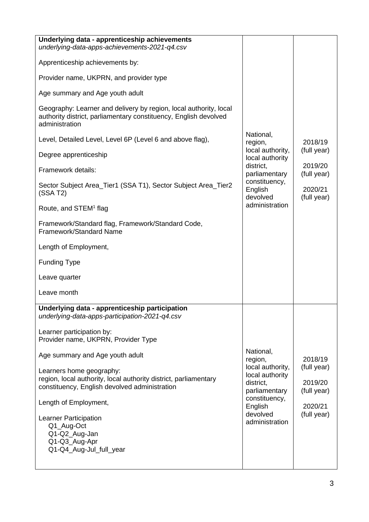| Underlying data - apprenticeship achievements<br>underlying-data-apps-achievements-2021-q4.csv                                                          |                                                                   |                                       |
|---------------------------------------------------------------------------------------------------------------------------------------------------------|-------------------------------------------------------------------|---------------------------------------|
| Apprenticeship achievements by:                                                                                                                         |                                                                   |                                       |
| Provider name, UKPRN, and provider type                                                                                                                 |                                                                   |                                       |
| Age summary and Age youth adult                                                                                                                         |                                                                   |                                       |
| Geography: Learner and delivery by region, local authority, local<br>authority district, parliamentary constituency, English devolved<br>administration |                                                                   |                                       |
| Level, Detailed Level, Level 6P (Level 6 and above flag),                                                                                               | National,<br>region,                                              | 2018/19                               |
| Degree apprenticeship                                                                                                                                   | local authority,<br>local authority                               | (full year)                           |
| Framework details:                                                                                                                                      | district,<br>parliamentary                                        | 2019/20<br>(full year)                |
| Sector Subject Area_Tier1 (SSA T1), Sector Subject Area_Tier2<br>(SSA T2)                                                                               | constituency,<br>English<br>devolved                              | 2020/21<br>(full year)                |
| Route, and STEM <sup>1</sup> flag                                                                                                                       | administration                                                    |                                       |
| Framework/Standard flag, Framework/Standard Code,<br><b>Framework/Standard Name</b>                                                                     |                                                                   |                                       |
| Length of Employment,                                                                                                                                   |                                                                   |                                       |
| <b>Funding Type</b>                                                                                                                                     |                                                                   |                                       |
| Leave quarter                                                                                                                                           |                                                                   |                                       |
| Leave month                                                                                                                                             |                                                                   |                                       |
| Underlying data - apprenticeship participation<br>underlying-data-apps-participation-2021-q4.csv                                                        |                                                                   |                                       |
| Learner participation by:<br>Provider name, UKPRN, Provider Type                                                                                        |                                                                   |                                       |
| Age summary and Age youth adult                                                                                                                         | National,<br>region,                                              | 2018/19                               |
| Learners home geography:<br>region, local authority, local authority district, parliamentary<br>constituency, English devolved administration           | local authority,<br>local authority<br>district,<br>parliamentary | (full year)<br>2019/20<br>(full year) |
| Length of Employment,                                                                                                                                   | constituency,<br>English                                          | 2020/21                               |
| Learner Participation<br>Q1_Aug-Oct<br>Q1-Q2_Aug-Jan<br>Q1-Q3_Aug-Apr<br>Q1-Q4_Aug-Jul_full_year                                                        | devolved<br>administration                                        | (full year)                           |
|                                                                                                                                                         |                                                                   |                                       |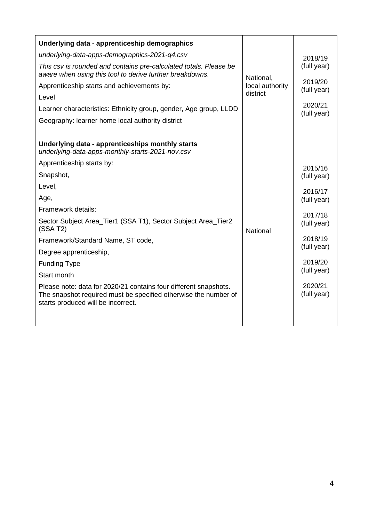| Underlying data - apprenticeship demographics<br>underlying-data-apps-demographics-2021-q4.csv<br>This csv is rounded and contains pre-calculated totals. Please be<br>aware when using this tool to derive further breakdowns.<br>Apprenticeship starts and achievements by:<br>Level<br>Learner characteristics: Ethnicity group, gender, Age group, LLDD<br>Geography: learner home local authority district                                                                                                                                       | National,<br>local authority<br>district | 2018/19<br>(full year)<br>2019/20<br>(full year)<br>2020/21<br>(full year)                                                                               |
|-------------------------------------------------------------------------------------------------------------------------------------------------------------------------------------------------------------------------------------------------------------------------------------------------------------------------------------------------------------------------------------------------------------------------------------------------------------------------------------------------------------------------------------------------------|------------------------------------------|----------------------------------------------------------------------------------------------------------------------------------------------------------|
| Underlying data - apprenticeships monthly starts<br>underlying-data-apps-monthly-starts-2021-nov.csv<br>Apprenticeship starts by:<br>Snapshot,<br>Level,<br>Age,<br>Framework details:<br>Sector Subject Area_Tier1 (SSA T1), Sector Subject Area_Tier2<br>(SSA T2)<br>Framework/Standard Name, ST code,<br>Degree apprenticeship,<br><b>Funding Type</b><br>Start month<br>Please note: data for 2020/21 contains four different snapshots.<br>The snapshot required must be specified otherwise the number of<br>starts produced will be incorrect. | National                                 | 2015/16<br>(full year)<br>2016/17<br>(full year)<br>2017/18<br>(full year)<br>2018/19<br>(full year)<br>2019/20<br>(full year)<br>2020/21<br>(full year) |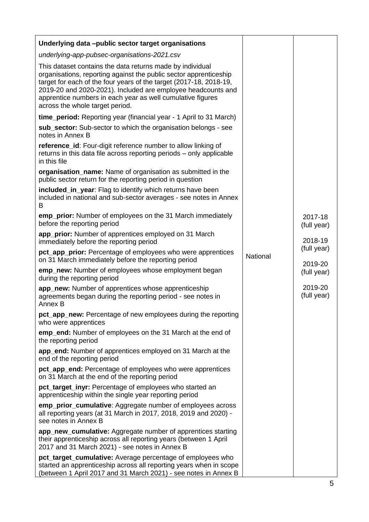| Underlying data -public sector target organisations                                                                                                                                                                                                                                                                                                                   |          |                        |
|-----------------------------------------------------------------------------------------------------------------------------------------------------------------------------------------------------------------------------------------------------------------------------------------------------------------------------------------------------------------------|----------|------------------------|
| underlying-app-pubsec-organisations-2021.csv                                                                                                                                                                                                                                                                                                                          |          |                        |
| This dataset contains the data returns made by individual<br>organisations, reporting against the public sector apprenticeship<br>target for each of the four years of the target (2017-18, 2018-19,<br>2019-20 and 2020-2021). Included are employee headcounts and<br>apprentice numbers in each year as well cumulative figures<br>across the whole target period. |          |                        |
| time_period: Reporting year (financial year - 1 April to 31 March)                                                                                                                                                                                                                                                                                                    |          |                        |
| sub_sector: Sub-sector to which the organisation belongs - see<br>notes in Annex B                                                                                                                                                                                                                                                                                    |          |                        |
| reference_id: Four-digit reference number to allow linking of<br>returns in this data file across reporting periods – only applicable<br>in this file                                                                                                                                                                                                                 |          |                        |
| organisation_name: Name of organisation as submitted in the<br>public sector return for the reporting period in question                                                                                                                                                                                                                                              |          |                        |
| included_in_year: Flag to identify which returns have been<br>included in national and sub-sector averages - see notes in Annex<br>B                                                                                                                                                                                                                                  |          |                        |
| emp_prior: Number of employees on the 31 March immediately<br>before the reporting period                                                                                                                                                                                                                                                                             |          | 2017-18<br>(full year) |
| app_prior: Number of apprentices employed on 31 March<br>immediately before the reporting period                                                                                                                                                                                                                                                                      |          | 2018-19                |
| pct_app_prior: Percentage of employees who were apprentices<br>on 31 March immediately before the reporting period                                                                                                                                                                                                                                                    | National | (full year)<br>2019-20 |
| emp_new: Number of employees whose employment began<br>during the reporting period                                                                                                                                                                                                                                                                                    |          | (full year)            |
| app_new: Number of apprentices whose apprenticeship<br>agreements began during the reporting period - see notes in<br>Annex B                                                                                                                                                                                                                                         |          | 2019-20<br>(full year) |
| pct_app_new: Percentage of new employees during the reporting<br>who were apprentices                                                                                                                                                                                                                                                                                 |          |                        |
| emp_end: Number of employees on the 31 March at the end of<br>the reporting period                                                                                                                                                                                                                                                                                    |          |                        |
| app_end: Number of apprentices employed on 31 March at the<br>end of the reporting period                                                                                                                                                                                                                                                                             |          |                        |
| pct_app_end: Percentage of employees who were apprentices<br>on 31 March at the end of the reporting period                                                                                                                                                                                                                                                           |          |                        |
| pct_target_inyr: Percentage of employees who started an<br>apprenticeship within the single year reporting period                                                                                                                                                                                                                                                     |          |                        |
| emp_prior_cumulative: Aggregate number of employees across<br>all reporting years (at 31 March in 2017, 2018, 2019 and 2020) -<br>see notes in Annex B                                                                                                                                                                                                                |          |                        |
| app_new_cumulative: Aggregate number of apprentices starting<br>their apprenticeship across all reporting years (between 1 April<br>2017 and 31 March 2021) - see notes in Annex B                                                                                                                                                                                    |          |                        |
| pct_target_cumulative: Average percentage of employees who<br>started an apprenticeship across all reporting years when in scope<br>(between 1 April 2017 and 31 March 2021) - see notes in Annex B                                                                                                                                                                   |          |                        |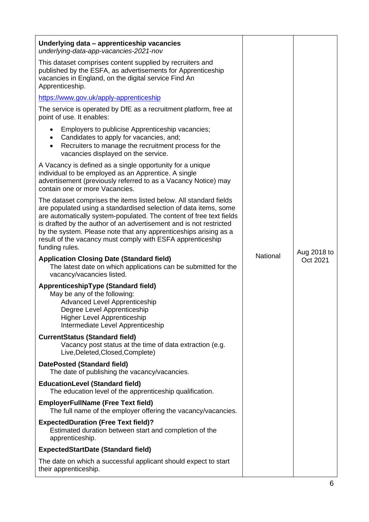| Underlying data - apprenticeship vacancies<br>underlying-data-app-vacancies-2021-nov                                                                                                                                                                                                                                                                                                                                                   |          |             |
|----------------------------------------------------------------------------------------------------------------------------------------------------------------------------------------------------------------------------------------------------------------------------------------------------------------------------------------------------------------------------------------------------------------------------------------|----------|-------------|
| This dataset comprises content supplied by recruiters and<br>published by the ESFA, as advertisements for Apprenticeship<br>vacancies in England, on the digital service Find An<br>Apprenticeship.                                                                                                                                                                                                                                    |          |             |
| https://www.gov.uk/apply-apprenticeship                                                                                                                                                                                                                                                                                                                                                                                                |          |             |
| The service is operated by DfE as a recruitment platform, free at<br>point of use. It enables:                                                                                                                                                                                                                                                                                                                                         |          |             |
| Employers to publicise Apprenticeship vacancies;<br>Candidates to apply for vacancies, and;<br>Recruiters to manage the recruitment process for the<br>$\bullet$<br>vacancies displayed on the service.                                                                                                                                                                                                                                |          |             |
| A Vacancy is defined as a single opportunity for a unique<br>individual to be employed as an Apprentice. A single<br>advertisement (previously referred to as a Vacancy Notice) may<br>contain one or more Vacancies.                                                                                                                                                                                                                  |          |             |
| The dataset comprises the items listed below. All standard fields<br>are populated using a standardised selection of data items, some<br>are automatically system-populated. The content of free text fields<br>is drafted by the author of an advertisement and is not restricted<br>by the system. Please note that any apprenticeships arising as a<br>result of the vacancy must comply with ESFA apprenticeship<br>funding rules. |          | Aug 2018 to |
| <b>Application Closing Date (Standard field)</b><br>The latest date on which applications can be submitted for the<br>vacancy/vacancies listed.                                                                                                                                                                                                                                                                                        | National | Oct 2021    |
| ApprenticeshipType (Standard field)<br>May be any of the following:<br><b>Advanced Level Apprenticeship</b><br>Degree Level Apprenticeship<br><b>Higher Level Apprenticeship</b><br>Intermediate Level Apprenticeship                                                                                                                                                                                                                  |          |             |
| <b>CurrentStatus (Standard field)</b><br>Vacancy post status at the time of data extraction (e.g.<br>Live, Deleted, Closed, Complete)                                                                                                                                                                                                                                                                                                  |          |             |
| <b>DatePosted (Standard field)</b><br>The date of publishing the vacancy/vacancies.                                                                                                                                                                                                                                                                                                                                                    |          |             |
| <b>EducationLevel (Standard field)</b><br>The education level of the apprenticeship qualification.                                                                                                                                                                                                                                                                                                                                     |          |             |
| <b>EmployerFullName (Free Text field)</b><br>The full name of the employer offering the vacancy/vacancies.                                                                                                                                                                                                                                                                                                                             |          |             |
| <b>ExpectedDuration (Free Text field)?</b><br>Estimated duration between start and completion of the<br>apprenticeship.                                                                                                                                                                                                                                                                                                                |          |             |
| <b>ExpectedStartDate (Standard field)</b>                                                                                                                                                                                                                                                                                                                                                                                              |          |             |
| The date on which a successful applicant should expect to start<br>their apprenticeship.                                                                                                                                                                                                                                                                                                                                               |          |             |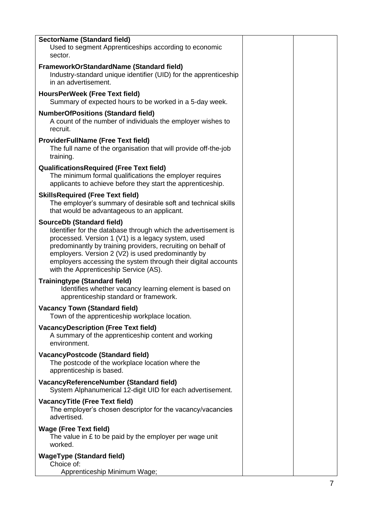| <b>SectorName (Standard field)</b><br>Used to segment Apprenticeships according to economic<br>sector.                                                                                                                                                                                                                                                                                   |  |
|------------------------------------------------------------------------------------------------------------------------------------------------------------------------------------------------------------------------------------------------------------------------------------------------------------------------------------------------------------------------------------------|--|
| FrameworkOrStandardName (Standard field)<br>Industry-standard unique identifier (UID) for the apprenticeship<br>in an advertisement.                                                                                                                                                                                                                                                     |  |
| HoursPerWeek (Free Text field)<br>Summary of expected hours to be worked in a 5-day week.                                                                                                                                                                                                                                                                                                |  |
| <b>NumberOfPositions (Standard field)</b><br>A count of the number of individuals the employer wishes to<br>recruit.                                                                                                                                                                                                                                                                     |  |
| <b>ProviderFullName (Free Text field)</b><br>The full name of the organisation that will provide off-the-job<br>training.                                                                                                                                                                                                                                                                |  |
| <b>QualificationsRequired (Free Text field)</b><br>The minimum formal qualifications the employer requires<br>applicants to achieve before they start the apprenticeship.                                                                                                                                                                                                                |  |
| <b>SkillsRequired (Free Text field)</b><br>The employer's summary of desirable soft and technical skills<br>that would be advantageous to an applicant.                                                                                                                                                                                                                                  |  |
| <b>SourceDb (Standard field)</b><br>Identifier for the database through which the advertisement is<br>processed. Version 1 (V1) is a legacy system, used<br>predominantly by training providers, recruiting on behalf of<br>employers. Version 2 (V2) is used predominantly by<br>employers accessing the system through their digital accounts<br>with the Apprenticeship Service (AS). |  |
| <b>Trainingtype (Standard field)</b><br>Identifies whether vacancy learning element is based on<br>apprenticeship standard or framework.                                                                                                                                                                                                                                                 |  |
| <b>Vacancy Town (Standard field)</b><br>Town of the apprenticeship workplace location.                                                                                                                                                                                                                                                                                                   |  |
| <b>VacancyDescription (Free Text field)</b><br>A summary of the apprenticeship content and working<br>environment.                                                                                                                                                                                                                                                                       |  |
| <b>VacancyPostcode (Standard field)</b><br>The postcode of the workplace location where the<br>apprenticeship is based.                                                                                                                                                                                                                                                                  |  |
| VacancyReferenceNumber (Standard field)<br>System Alphanumerical 12-digit UID for each advertisement.                                                                                                                                                                                                                                                                                    |  |
| <b>VacancyTitle (Free Text field)</b><br>The employer's chosen descriptor for the vacancy/vacancies<br>advertised.                                                                                                                                                                                                                                                                       |  |
| <b>Wage (Free Text field)</b><br>The value in $E$ to be paid by the employer per wage unit<br>worked.                                                                                                                                                                                                                                                                                    |  |
| <b>WageType (Standard field)</b><br>Choice of:<br>Apprenticeship Minimum Wage;                                                                                                                                                                                                                                                                                                           |  |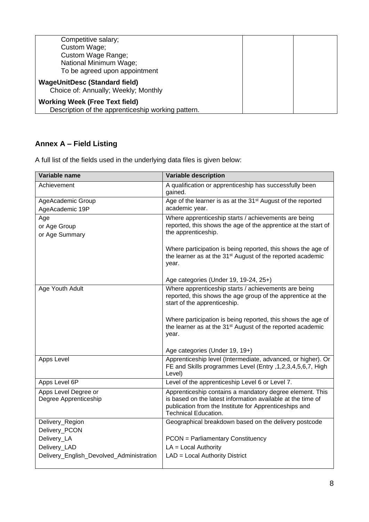| Competitive salary;<br>Custom Wage;<br>Custom Wage Range;<br>National Minimum Wage;         |  |
|---------------------------------------------------------------------------------------------|--|
| To be agreed upon appointment                                                               |  |
| <b>WageUnitDesc (Standard field)</b><br>Choice of: Annually; Weekly; Monthly                |  |
| <b>Working Week (Free Text field)</b><br>Description of the apprenticeship working pattern. |  |

### **Annex A – Field Listing**

A full list of the fields used in the underlying data files is given below:

| Variable name                                 | <b>Variable description</b>                                                                                                                                                                                      |
|-----------------------------------------------|------------------------------------------------------------------------------------------------------------------------------------------------------------------------------------------------------------------|
| Achievement                                   | A qualification or apprenticeship has successfully been<br>gained.                                                                                                                                               |
| AgeAcademic Group<br>AgeAcademic 19P          | Age of the learner is as at the 31 <sup>st</sup> August of the reported<br>academic year.                                                                                                                        |
| Age<br>or Age Group<br>or Age Summary         | Where apprenticeship starts / achievements are being<br>reported, this shows the age of the apprentice at the start of<br>the apprenticeship.                                                                    |
|                                               | Where participation is being reported, this shows the age of<br>the learner as at the 31 <sup>st</sup> August of the reported academic<br>year.                                                                  |
|                                               | Age categories (Under 19, 19-24, 25+)                                                                                                                                                                            |
| Age Youth Adult                               | Where apprenticeship starts / achievements are being<br>reported, this shows the age group of the apprentice at the<br>start of the apprenticeship.                                                              |
|                                               | Where participation is being reported, this shows the age of<br>the learner as at the 31 <sup>st</sup> August of the reported academic<br>year.                                                                  |
|                                               | Age categories (Under 19, 19+)                                                                                                                                                                                   |
| Apps Level                                    | Apprenticeship level (Intermediate, advanced, or higher). Or<br>FE and Skills programmes Level (Entry , 1, 2, 3, 4, 5, 6, 7, High<br>Level)                                                                      |
| Apps Level 6P                                 | Level of the apprenticeship Level 6 or Level 7.                                                                                                                                                                  |
| Apps Level Degree or<br>Degree Apprenticeship | Apprenticeship contains a mandatory degree element. This<br>is based on the latest information available at the time of<br>publication from the Institute for Apprenticeships and<br><b>Technical Education.</b> |
| Delivery_Region<br>Delivery_PCON              | Geographical breakdown based on the delivery postcode                                                                                                                                                            |
| Delivery_LA                                   | <b>PCON</b> = Parliamentary Constituency                                                                                                                                                                         |
| Delivery_LAD                                  | $LA = Local Authority$                                                                                                                                                                                           |
| Delivery_English_Devolved_Administration      | LAD = Local Authority District                                                                                                                                                                                   |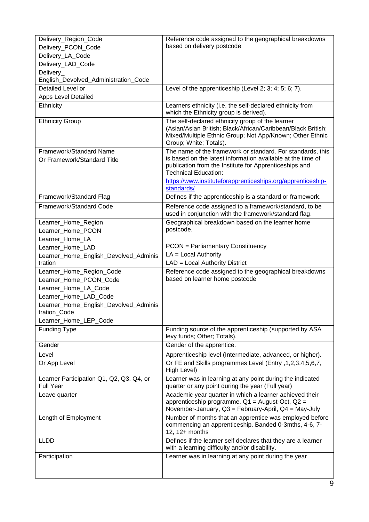| Delivery_Region_Code                                         | Reference code assigned to the geographical breakdowns                                                                                               |
|--------------------------------------------------------------|------------------------------------------------------------------------------------------------------------------------------------------------------|
| Delivery_PCON_Code                                           | based on delivery postcode                                                                                                                           |
| Delivery_LA_Code                                             |                                                                                                                                                      |
| Delivery_LAD_Code                                            |                                                                                                                                                      |
| Delivery                                                     |                                                                                                                                                      |
| English_Devolved_Administration_Code                         |                                                                                                                                                      |
| Detailed Level or                                            | Level of the apprenticeship (Level 2; 3; 4; 5; 6; 7).                                                                                                |
| <b>Apps Level Detailed</b>                                   |                                                                                                                                                      |
| Ethnicity                                                    | Learners ethnicity (i.e. the self-declared ethnicity from<br>which the Ethnicity group is derived).                                                  |
| <b>Ethnicity Group</b>                                       | The self-declared ethnicity group of the learner<br>(Asian/Asian British; Black/African/Caribbean/Black British;                                     |
|                                                              | Mixed/Multiple Ethnic Group; Not App/Known; Other Ethnic<br>Group; White; Totals).                                                                   |
| Framework/Standard Name                                      | The name of the framework or standard. For standards, this                                                                                           |
| Or Framework/Standard Title                                  | is based on the latest information available at the time of<br>publication from the Institute for Apprenticeships and<br><b>Technical Education:</b> |
|                                                              | https://www.instituteforapprenticeships.org/apprenticeship-<br>standards/                                                                            |
| Framework/Standard Flag                                      | Defines if the apprenticeship is a standard or framework.                                                                                            |
| Framework/Standard Code                                      | Reference code assigned to a framework/standard, to be<br>used in conjunction with the framework/standard flag.                                      |
| Learner_Home_Region                                          | Geographical breakdown based on the learner home                                                                                                     |
| Learner_Home_PCON                                            | postcode.                                                                                                                                            |
| Learner_Home_LA                                              |                                                                                                                                                      |
| Learner_Home_LAD                                             | <b>PCON</b> = Parliamentary Constituency                                                                                                             |
| Learner_Home_English_Devolved_Adminis                        | $LA = Local Authority$                                                                                                                               |
| tration                                                      | LAD = Local Authority District                                                                                                                       |
| Learner_Home_Region_Code                                     | Reference code assigned to the geographical breakdowns                                                                                               |
| Learner_Home_PCON_Code                                       | based on learner home postcode                                                                                                                       |
| Learner_Home_LA_Code                                         |                                                                                                                                                      |
| Learner_Home_LAD_Code                                        |                                                                                                                                                      |
| Learner_Home_English_Devolved_Adminis                        |                                                                                                                                                      |
| tration_Code                                                 |                                                                                                                                                      |
| Learner_Home_LEP_Code                                        |                                                                                                                                                      |
| <b>Funding Type</b>                                          | Funding source of the apprenticeship (supported by ASA<br>levy funds; Other; Totals).                                                                |
| Gender                                                       | Gender of the apprentice.                                                                                                                            |
| Level                                                        | Apprenticeship level (Intermediate, advanced, or higher).                                                                                            |
| Or App Level                                                 | Or FE and Skills programmes Level (Entry , 1, 2, 3, 4, 5, 6, 7,<br>High Level)                                                                       |
| Learner Participation Q1, Q2, Q3, Q4, or<br><b>Full Year</b> | Learner was in learning at any point during the indicated<br>quarter or any point during the year (Full year)                                        |
| Leave quarter                                                | Academic year quarter in which a learner achieved their                                                                                              |
|                                                              | apprenticeship programme. $Q1$ = August-Oct, $Q2$ =<br>November-January, Q3 = February-April, Q4 = May-July                                          |
| Length of Employment                                         | Number of months that an apprentice was employed before                                                                                              |
|                                                              | commencing an apprenticeship. Banded 0-3mths, 4-6, 7-<br>12, 12+ months                                                                              |
| <b>LLDD</b>                                                  | Defines if the learner self declares that they are a learner                                                                                         |
|                                                              | with a learning difficulty and/or disability.                                                                                                        |
| Participation                                                | Learner was in learning at any point during the year                                                                                                 |
|                                                              |                                                                                                                                                      |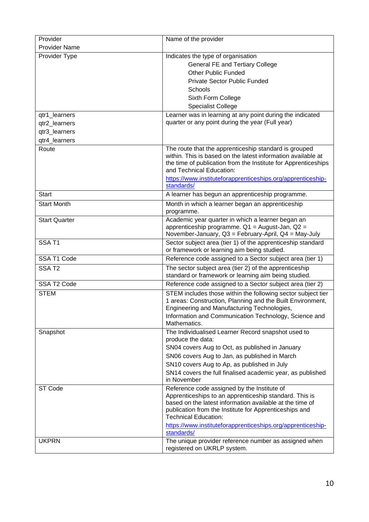| <b>Provider Name</b><br>Provider Type<br>Indicates the type of organisation<br><b>General FE and Tertiary College</b><br><b>Other Public Funded</b><br><b>Private Sector Public Funded</b><br>Schools<br>Sixth Form College<br><b>Specialist College</b><br>Learner was in learning at any point during the indicated<br>qtr1_learners<br>quarter or any point during the year (Full year)<br>qtr2_learners<br>qtr3_learners<br>qtr4_learners<br>Route<br>The route that the apprenticeship standard is grouped<br>within. This is based on the latest information available at<br>the time of publication from the Institute for Apprenticeships<br>and Technical Education:<br>https://www.instituteforapprenticeships.org/apprenticeship-<br>standards/<br><b>Start</b><br>A learner has begun an apprenticeship programme.<br>Month in which a learner began an apprenticeship<br><b>Start Month</b><br>programme.<br><b>Start Quarter</b><br>Academic year quarter in which a learner began an<br>apprenticeship programme. Q1 = August-Jan, Q2 =<br>November-January, Q3 = February-April, Q4 = May-July<br>SSAT <sub>1</sub><br>Sector subject area (tier 1) of the apprenticeship standard<br>or framework or learning aim being studied.<br>SSA T1 Code<br>Reference code assigned to a Sector subject area (tier 1)<br>SSAT2<br>The sector subject area (tier 2) of the apprenticeship<br>standard or framework or learning aim being studied.<br>SSA T2 Code<br>Reference code assigned to a Sector subject area (tier 2)<br><b>STEM</b><br>STEM includes those within the following sector subject tier<br>1 areas: Construction, Planning and the Built Environment,<br>Engineering and Manufacturing Technologies,<br>Information and Communication Technology, Science and<br>Mathematics.<br>Snapshot<br>The Individualised Learner Record snapshot used to<br>produce the data:<br>SN04 covers Aug to Oct, as published in January<br>SN06 covers Aug to Jan, as published in March<br>SN10 covers Aug to Ap, as published in July<br>SN14 covers the full finalised academic year, as published<br>in November<br>ST Code<br>Reference code assigned by the Institute of<br>Apprenticeships to an apprenticeship standard. This is<br>based on the latest information available at the time of<br>publication from the Institute for Apprenticeships and<br><b>Technical Education:</b><br>https://www.instituteforapprenticeships.org/apprenticeship-<br>standards/<br><b>UKPRN</b><br>The unique provider reference number as assigned when<br>registered on UKRLP system. | Provider | Name of the provider |
|------------------------------------------------------------------------------------------------------------------------------------------------------------------------------------------------------------------------------------------------------------------------------------------------------------------------------------------------------------------------------------------------------------------------------------------------------------------------------------------------------------------------------------------------------------------------------------------------------------------------------------------------------------------------------------------------------------------------------------------------------------------------------------------------------------------------------------------------------------------------------------------------------------------------------------------------------------------------------------------------------------------------------------------------------------------------------------------------------------------------------------------------------------------------------------------------------------------------------------------------------------------------------------------------------------------------------------------------------------------------------------------------------------------------------------------------------------------------------------------------------------------------------------------------------------------------------------------------------------------------------------------------------------------------------------------------------------------------------------------------------------------------------------------------------------------------------------------------------------------------------------------------------------------------------------------------------------------------------------------------------------------------------------------------------------------------------------------------------------------------------------------------------------------------------------------------------------------------------------------------------------------------------------------------------------------------------------------------------------------------------------------------------------------------------------------------------------------------------------------------------------------------------------------------------------------------------------------------|----------|----------------------|
|                                                                                                                                                                                                                                                                                                                                                                                                                                                                                                                                                                                                                                                                                                                                                                                                                                                                                                                                                                                                                                                                                                                                                                                                                                                                                                                                                                                                                                                                                                                                                                                                                                                                                                                                                                                                                                                                                                                                                                                                                                                                                                                                                                                                                                                                                                                                                                                                                                                                                                                                                                                                |          |                      |
|                                                                                                                                                                                                                                                                                                                                                                                                                                                                                                                                                                                                                                                                                                                                                                                                                                                                                                                                                                                                                                                                                                                                                                                                                                                                                                                                                                                                                                                                                                                                                                                                                                                                                                                                                                                                                                                                                                                                                                                                                                                                                                                                                                                                                                                                                                                                                                                                                                                                                                                                                                                                |          |                      |
|                                                                                                                                                                                                                                                                                                                                                                                                                                                                                                                                                                                                                                                                                                                                                                                                                                                                                                                                                                                                                                                                                                                                                                                                                                                                                                                                                                                                                                                                                                                                                                                                                                                                                                                                                                                                                                                                                                                                                                                                                                                                                                                                                                                                                                                                                                                                                                                                                                                                                                                                                                                                |          |                      |
|                                                                                                                                                                                                                                                                                                                                                                                                                                                                                                                                                                                                                                                                                                                                                                                                                                                                                                                                                                                                                                                                                                                                                                                                                                                                                                                                                                                                                                                                                                                                                                                                                                                                                                                                                                                                                                                                                                                                                                                                                                                                                                                                                                                                                                                                                                                                                                                                                                                                                                                                                                                                |          |                      |
|                                                                                                                                                                                                                                                                                                                                                                                                                                                                                                                                                                                                                                                                                                                                                                                                                                                                                                                                                                                                                                                                                                                                                                                                                                                                                                                                                                                                                                                                                                                                                                                                                                                                                                                                                                                                                                                                                                                                                                                                                                                                                                                                                                                                                                                                                                                                                                                                                                                                                                                                                                                                |          |                      |
|                                                                                                                                                                                                                                                                                                                                                                                                                                                                                                                                                                                                                                                                                                                                                                                                                                                                                                                                                                                                                                                                                                                                                                                                                                                                                                                                                                                                                                                                                                                                                                                                                                                                                                                                                                                                                                                                                                                                                                                                                                                                                                                                                                                                                                                                                                                                                                                                                                                                                                                                                                                                |          |                      |
|                                                                                                                                                                                                                                                                                                                                                                                                                                                                                                                                                                                                                                                                                                                                                                                                                                                                                                                                                                                                                                                                                                                                                                                                                                                                                                                                                                                                                                                                                                                                                                                                                                                                                                                                                                                                                                                                                                                                                                                                                                                                                                                                                                                                                                                                                                                                                                                                                                                                                                                                                                                                |          |                      |
|                                                                                                                                                                                                                                                                                                                                                                                                                                                                                                                                                                                                                                                                                                                                                                                                                                                                                                                                                                                                                                                                                                                                                                                                                                                                                                                                                                                                                                                                                                                                                                                                                                                                                                                                                                                                                                                                                                                                                                                                                                                                                                                                                                                                                                                                                                                                                                                                                                                                                                                                                                                                |          |                      |
|                                                                                                                                                                                                                                                                                                                                                                                                                                                                                                                                                                                                                                                                                                                                                                                                                                                                                                                                                                                                                                                                                                                                                                                                                                                                                                                                                                                                                                                                                                                                                                                                                                                                                                                                                                                                                                                                                                                                                                                                                                                                                                                                                                                                                                                                                                                                                                                                                                                                                                                                                                                                |          |                      |
|                                                                                                                                                                                                                                                                                                                                                                                                                                                                                                                                                                                                                                                                                                                                                                                                                                                                                                                                                                                                                                                                                                                                                                                                                                                                                                                                                                                                                                                                                                                                                                                                                                                                                                                                                                                                                                                                                                                                                                                                                                                                                                                                                                                                                                                                                                                                                                                                                                                                                                                                                                                                |          |                      |
|                                                                                                                                                                                                                                                                                                                                                                                                                                                                                                                                                                                                                                                                                                                                                                                                                                                                                                                                                                                                                                                                                                                                                                                                                                                                                                                                                                                                                                                                                                                                                                                                                                                                                                                                                                                                                                                                                                                                                                                                                                                                                                                                                                                                                                                                                                                                                                                                                                                                                                                                                                                                |          |                      |
|                                                                                                                                                                                                                                                                                                                                                                                                                                                                                                                                                                                                                                                                                                                                                                                                                                                                                                                                                                                                                                                                                                                                                                                                                                                                                                                                                                                                                                                                                                                                                                                                                                                                                                                                                                                                                                                                                                                                                                                                                                                                                                                                                                                                                                                                                                                                                                                                                                                                                                                                                                                                |          |                      |
|                                                                                                                                                                                                                                                                                                                                                                                                                                                                                                                                                                                                                                                                                                                                                                                                                                                                                                                                                                                                                                                                                                                                                                                                                                                                                                                                                                                                                                                                                                                                                                                                                                                                                                                                                                                                                                                                                                                                                                                                                                                                                                                                                                                                                                                                                                                                                                                                                                                                                                                                                                                                |          |                      |
|                                                                                                                                                                                                                                                                                                                                                                                                                                                                                                                                                                                                                                                                                                                                                                                                                                                                                                                                                                                                                                                                                                                                                                                                                                                                                                                                                                                                                                                                                                                                                                                                                                                                                                                                                                                                                                                                                                                                                                                                                                                                                                                                                                                                                                                                                                                                                                                                                                                                                                                                                                                                |          |                      |
|                                                                                                                                                                                                                                                                                                                                                                                                                                                                                                                                                                                                                                                                                                                                                                                                                                                                                                                                                                                                                                                                                                                                                                                                                                                                                                                                                                                                                                                                                                                                                                                                                                                                                                                                                                                                                                                                                                                                                                                                                                                                                                                                                                                                                                                                                                                                                                                                                                                                                                                                                                                                |          |                      |
|                                                                                                                                                                                                                                                                                                                                                                                                                                                                                                                                                                                                                                                                                                                                                                                                                                                                                                                                                                                                                                                                                                                                                                                                                                                                                                                                                                                                                                                                                                                                                                                                                                                                                                                                                                                                                                                                                                                                                                                                                                                                                                                                                                                                                                                                                                                                                                                                                                                                                                                                                                                                |          |                      |
|                                                                                                                                                                                                                                                                                                                                                                                                                                                                                                                                                                                                                                                                                                                                                                                                                                                                                                                                                                                                                                                                                                                                                                                                                                                                                                                                                                                                                                                                                                                                                                                                                                                                                                                                                                                                                                                                                                                                                                                                                                                                                                                                                                                                                                                                                                                                                                                                                                                                                                                                                                                                |          |                      |
|                                                                                                                                                                                                                                                                                                                                                                                                                                                                                                                                                                                                                                                                                                                                                                                                                                                                                                                                                                                                                                                                                                                                                                                                                                                                                                                                                                                                                                                                                                                                                                                                                                                                                                                                                                                                                                                                                                                                                                                                                                                                                                                                                                                                                                                                                                                                                                                                                                                                                                                                                                                                |          |                      |
|                                                                                                                                                                                                                                                                                                                                                                                                                                                                                                                                                                                                                                                                                                                                                                                                                                                                                                                                                                                                                                                                                                                                                                                                                                                                                                                                                                                                                                                                                                                                                                                                                                                                                                                                                                                                                                                                                                                                                                                                                                                                                                                                                                                                                                                                                                                                                                                                                                                                                                                                                                                                |          |                      |
|                                                                                                                                                                                                                                                                                                                                                                                                                                                                                                                                                                                                                                                                                                                                                                                                                                                                                                                                                                                                                                                                                                                                                                                                                                                                                                                                                                                                                                                                                                                                                                                                                                                                                                                                                                                                                                                                                                                                                                                                                                                                                                                                                                                                                                                                                                                                                                                                                                                                                                                                                                                                |          |                      |
|                                                                                                                                                                                                                                                                                                                                                                                                                                                                                                                                                                                                                                                                                                                                                                                                                                                                                                                                                                                                                                                                                                                                                                                                                                                                                                                                                                                                                                                                                                                                                                                                                                                                                                                                                                                                                                                                                                                                                                                                                                                                                                                                                                                                                                                                                                                                                                                                                                                                                                                                                                                                |          |                      |